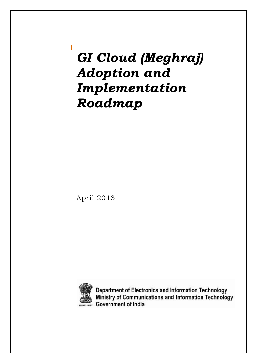# *GI Cloud (Meghraj) Adoption and Implementation Roadmap*

April 2013



Department of Electronics and Information Technology Ministry of Communications and Information Technology Government of India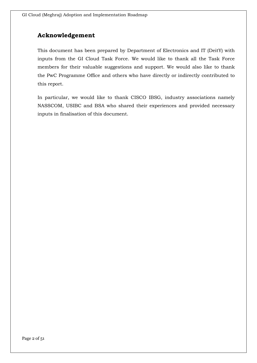### **Acknowledgement**

This document has been prepared by Department of Electronics and IT (DeitY) with inputs from the GI Cloud Task Force. We would like to thank all the Task Force members for their valuable suggestions and support. We would also like to thank the PwC Programme Office and others who have directly or indirectly contributed to this report.

In particular, we would like to thank CISCO IBSG, industry associations namely NASSCOM, USIBC and BSA who shared their experiences and provided necessary inputs in finalisation of this document.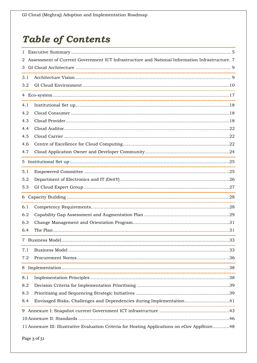# **Table of Contents**

| Assessment of Current Government ICT Infrastructure and National Information Infrastructure. 7<br>2 |                                                                      |  |  |
|-----------------------------------------------------------------------------------------------------|----------------------------------------------------------------------|--|--|
| 3                                                                                                   |                                                                      |  |  |
| 3.1                                                                                                 |                                                                      |  |  |
| 3.2                                                                                                 |                                                                      |  |  |
|                                                                                                     |                                                                      |  |  |
| 4.1                                                                                                 |                                                                      |  |  |
| 4.2                                                                                                 |                                                                      |  |  |
| 4.3                                                                                                 |                                                                      |  |  |
| 4.4                                                                                                 |                                                                      |  |  |
| 4.5                                                                                                 |                                                                      |  |  |
| 4.6                                                                                                 |                                                                      |  |  |
| 4.7                                                                                                 |                                                                      |  |  |
|                                                                                                     |                                                                      |  |  |
| 5.1                                                                                                 |                                                                      |  |  |
| 5.2                                                                                                 |                                                                      |  |  |
| 5.3                                                                                                 |                                                                      |  |  |
|                                                                                                     |                                                                      |  |  |
| 6.1                                                                                                 |                                                                      |  |  |
| 6.2                                                                                                 |                                                                      |  |  |
| 6.3                                                                                                 |                                                                      |  |  |
| 6.4                                                                                                 |                                                                      |  |  |
|                                                                                                     | 33<br>7 Business Model.                                              |  |  |
| 7.1                                                                                                 |                                                                      |  |  |
| 7.2                                                                                                 |                                                                      |  |  |
|                                                                                                     |                                                                      |  |  |
| 8.1                                                                                                 |                                                                      |  |  |
| 8.2                                                                                                 |                                                                      |  |  |
| 8.3                                                                                                 |                                                                      |  |  |
| 8.4                                                                                                 | Envisaged Risks, Challenges and Dependencies during Implementation41 |  |  |
| 9                                                                                                   |                                                                      |  |  |
|                                                                                                     |                                                                      |  |  |
| 11 Annexure III: Illustrative Evaluation Criteria for Hosting Applications on eGov AppStore48       |                                                                      |  |  |

Page 3 of 51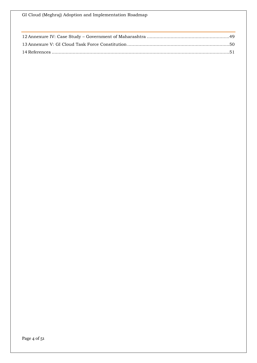GI Cloud (Meghraj) Adoption and Implementation Roadmap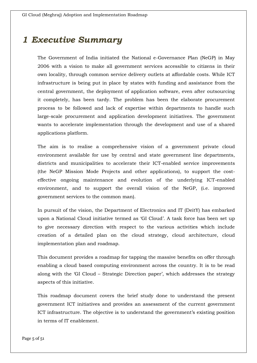## <span id="page-4-0"></span>*1 Executive Summary*

The Government of India initiated the National e-Governance Plan (NeGP) in May 2006 with a vision to make all government services accessible to citizens in their own locality, through common service delivery outlets at affordable costs. While ICT infrastructure is being put in place by states with funding and assistance from the central government, the deployment of application software, even after outsourcing it completely, has been tardy. The problem has been the elaborate procurement process to be followed and lack of expertise within departments to handle such large-scale procurement and application development initiatives. The government wants to accelerate implementation through the development and use of a shared applications platform.

The aim is to realise a comprehensive vision of a government private cloud environment available for use by central and state government line departments, districts and municipalities to accelerate their ICT-enabled service improvements (the NeGP Mission Mode Projects and other applications), to support the costeffective ongoing maintenance and evolution of the underlying ICT-enabled environment, and to support the overall vision of the NeGP, (i.e. improved government services to the common man).

In pursuit of the vision, the Department of Electronics and IT (DeitY) has embarked upon a National Cloud initiative termed as 'GI Cloud'. A task force has been set up to give necessary direction with respect to the various activities which include creation of a detailed plan on the cloud strategy, cloud architecture, cloud implementation plan and roadmap.

This document provides a roadmap for tapping the massive benefits on offer through enabling a cloud based computing environment across the country. It is to be read along with the 'GI Cloud – Strategic Direction paper', which addresses the strategy aspects of this initiative.

This roadmap document covers the brief study done to understand the present government ICT initiatives and provides an assessment of the current government ICT infrastructure. The objective is to understand the government's existing position in terms of IT enablement.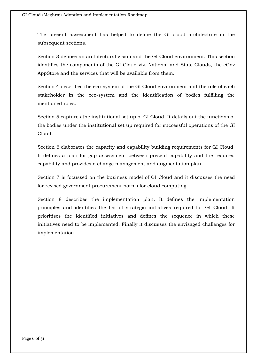The present assessment has helped to define the GI cloud architecture in the subsequent sections.

Section 3 defines an architectural vision and the GI Cloud environment. This section identifies the components of the GI Cloud viz. National and State Clouds, the eGov AppStore and the services that will be available from them.

Section 4 describes the eco-system of the GI Cloud environment and the role of each stakeholder in the eco-system and the identification of bodies fulfilling the mentioned roles.

Section 5 captures the institutional set up of GI Cloud. It details out the functions of the bodies under the institutional set up required for successful operations of the GI Cloud.

Section 6 elaborates the capacity and capability building requirements for GI Cloud. It defines a plan for gap assessment between present capability and the required capability and provides a change management and augmentation plan.

Section 7 is focussed on the business model of GI Cloud and it discusses the need for revised government procurement norms for cloud computing.

Section 8 describes the implementation plan. It defines the implementation principles and identifies the list of strategic initiatives required for GI Cloud. It prioritises the identified initiatives and defines the sequence in which these initiatives need to be implemented. Finally it discusses the envisaged challenges for implementation.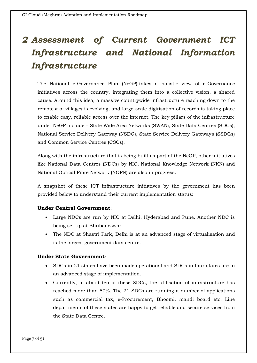# <span id="page-6-0"></span>*2 Assessment of Current Government ICT Infrastructure and National Information Infrastructure*

The National e-Governance Plan (NeGP) takes a holistic view of e-Governance initiatives across the country, integrating them into a collective vision, a shared cause. Around this idea, a massive countrywide infrastructure reaching down to the remotest of villages is evolving, and large-scale digitisation of records is taking place to enable easy, reliable access over the internet. The key pillars of the infrastructure under NeGP include – State Wide Area Networks (SWAN), State Data Centres (SDCs), National Service Delivery Gateway (NSDG), State Service Delivery Gateways (SSDGs) and Common Service Centres (CSCs).

Along with the infrastructure that is being built as part of the NeGP, other initiatives like National Data Centres (NDCs) by NIC, National Knowledge Network (NKN) and National Optical Fibre Network (NOFN) are also in progress.

A snapshot of these ICT infrastructure initiatives by the government has been provided below to understand their current implementation status:

### **Under Central Government**:

- Large NDCs are run by NIC at Delhi, Hyderabad and Pune. Another NDC is being set up at Bhubaneswar.
- The NDC at Shastri Park, Delhi is at an advanced stage of virtualisation and is the largest government data centre.

#### **Under State Government**:

- SDCs in 21 states have been made operational and SDCs in four states are in an advanced stage of implementation.
- Currently, in about ten of these SDCs, the utilisation of infrastructure has reached more than 50%. The 21 SDCs are running a number of applications such as commercial tax, e-Procurement, Bhoomi, mandi board etc. Line departments of these states are happy to get reliable and secure services from the State Data Centre.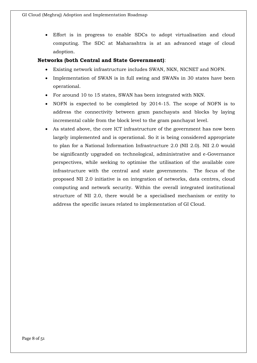Effort is in progress to enable SDCs to adopt virtualisation and cloud computing. The SDC at Maharashtra is at an advanced stage of cloud adoption.

### **Networks (both Central and State Government)**:

- Existing network infrastructure includes SWAN, NKN, NICNET and NOFN.
- Implementation of SWAN is in full swing and SWANs in 30 states have been operational.
- For around 10 to 15 states, SWAN has been integrated with NKN.
- NOFN is expected to be completed by 2014-15. The scope of NOFN is to address the connectivity between gram panchayats and blocks by laying incremental cable from the block level to the gram panchayat level.
- As stated above, the core ICT infrastructure of the government has now been largely implemented and is operational. So it is being considered appropriate to plan for a National Information Infrastructure 2.0 (NII 2.0). NII 2.0 would be significantly upgraded on technological, administrative and e-Governance perspectives, while seeking to optimise the utilisation of the available core infrastructure with the central and state governments. The focus of the proposed NII 2.0 initiative is on integration of networks, data centres, cloud computing and network security. Within the overall integrated institutional structure of NII 2.0, there would be a specialised mechanism or entity to address the specific issues related to implementation of GI Cloud.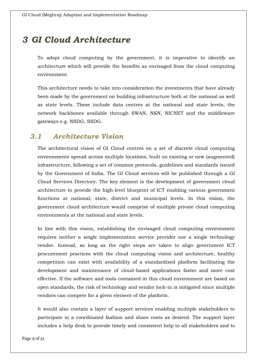# <span id="page-8-0"></span>*3 GI Cloud Architecture*

To adopt cloud computing by the government, it is imperative to identify an architecture which will provide the benefits as envisaged from the cloud computing environment.

This architecture needs to take into consideration the investments that have already been made by the government on building infrastructure both at the national as well as state levels. These include data centres at the national and state levels, the network backbones available through SWAN, NKN, NICNET and the middleware gateways e.g. NSDG, SSDG.

### <span id="page-8-1"></span>*3.1 Architecture Vision*

The architectural vision of GI Cloud centres on a set of discrete cloud computing environments spread across multiple locations, built on existing or new (augmented) infrastructure, following a set of common protocols, guidelines and standards issued by the Government of India. The GI Cloud services will be published through a GI Cloud Services Directory. The key element is the development of government cloud architecture to provide the high-level blueprint of ICT enabling various government functions at national, state, district and municipal levels. In this vision, the government cloud architecture would comprise of multiple private cloud computing environments at the national and state levels.

In line with this vision, establishing the envisaged cloud computing environment requires neither a single implementation service provider nor a single technology vendor. Instead, so long as the right steps are taken to align government ICT procurement practices with the cloud computing vision and architecture, healthy competition can exist with availability of a standardised platform facilitating the development and maintenance of cloud-based applications faster and more cost effective. If the software and tools contained in this cloud environment are based on open standards, the risk of technology and vendor lock-in is mitigated since multiple vendors can compete for a given element of the platform.

It would also contain a layer of support services enabling multiple stakeholders to participate in a coordinated fashion and share costs as desired. The support layer includes a help desk to provide timely and consistent help to all stakeholders and to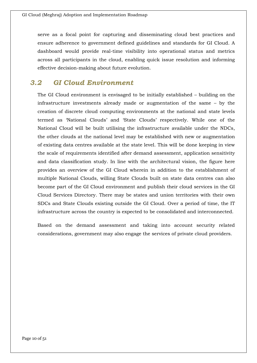serve as a focal point for capturing and disseminating cloud best practices and ensure adherence to government defined guidelines and standards for GI Cloud. A dashboard would provide real-time visibility into operational status and metrics across all participants in the cloud, enabling quick issue resolution and informing effective decision-making about future evolution.

### <span id="page-9-0"></span>*3.2 GI Cloud Environment*

The GI Cloud environment is envisaged to be initially established – building on the infrastructure investments already made or augmentation of the same – by the creation of discrete cloud computing environments at the national and state levels termed as 'National Clouds' and 'State Clouds' respectively. While one of the National Cloud will be built utilising the infrastructure available under the NDCs, the other clouds at the national level may be established with new or augmentation of existing data centres available at the state level. This will be done keeping in view the scale of requirements identified after demand assessment, application sensitivity and data classification study. In line with the architectural vision, the figure here provides an overview of the GI Cloud wherein in addition to the establishment of multiple National Clouds, willing State Clouds built on state data centres can also become part of the GI Cloud environment and publish their cloud services in the GI Cloud Services Directory. There may be states and union territories with their own SDCs and State Clouds existing outside the GI Cloud. Over a period of time, the IT infrastructure across the country is expected to be consolidated and interconnected.

Based on the demand assessment and taking into account security related considerations, government may also engage the services of private cloud providers.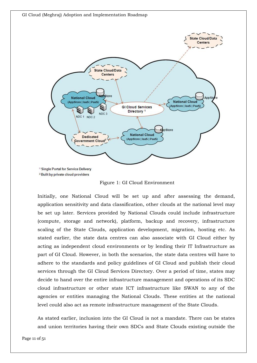

Figure 1: GI Cloud Environment

Initially, one National Cloud will be set up and after assessing the demand, application sensitivity and data classification, other clouds at the national level may be set up later. Services provided by National Clouds could include infrastructure (compute, storage and network), platform, backup and recovery, infrastructure scaling of the State Clouds, application development, migration, hosting etc. As stated earlier, the state data centres can also associate with GI Cloud either by acting as independent cloud environments or by lending their IT Infrastructure as part of GI Cloud. However, in both the scenarios, the state data centres will have to adhere to the standards and policy guidelines of GI Cloud and publish their cloud services through the GI Cloud Services Directory. Over a period of time, states may decide to hand over the entire infrastructure management and operations of its SDC cloud infrastructure or other state ICT infrastructure like SWAN to any of the agencies or entities managing the National Clouds. These entities at the national level could also act as remote infrastructure management of the State Clouds.

As stated earlier, inclusion into the GI Cloud is not a mandate. There can be states and union territories having their own SDCs and State Clouds existing outside the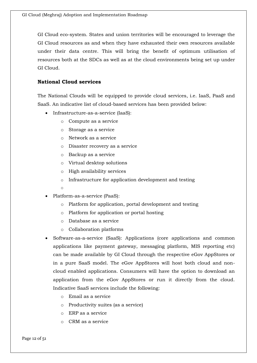GI Cloud eco-system. States and union territories will be encouraged to leverage the GI Cloud resources as and when they have exhausted their own resources available under their data centre. This will bring the benefit of optimum utilisation of resources both at the SDCs as well as at the cloud environments being set up under GI Cloud.

#### **National Cloud services**

The National Clouds will be equipped to provide cloud services, i.e. IaaS, PaaS and SaaS. An indicative list of cloud-based services has been provided below:

- Infrastructure-as-a-service (IaaS):
	- o Compute as a service
	- o Storage as a service
	- o Network as a service
	- o Disaster recovery as a service
	- o Backup as a service
	- o Virtual desktop solutions
	- o High availability services
	- o Infrastructure for application development and testing
	- o
- Platform-as-a-service (PaaS):
	- o Platform for application, portal development and testing
	- o Platform for application or portal hosting
	- o Database as a service
	- o Collaboration platforms
- Software-as-a-service (SaaS): Applications (core applications and common applications like payment gateway, messaging platform, MIS reporting etc) can be made available by GI Cloud through the respective eGov AppStores or in a pure SaaS model. The eGov AppStores will host both cloud and noncloud enabled applications. Consumers will have the option to download an application from the eGov AppStores or run it directly from the cloud. Indicative SaaS services include the following:
	- o Email as a service
	- o Productivity suites (as a service)
	- o ERP as a service
	- o CRM as a service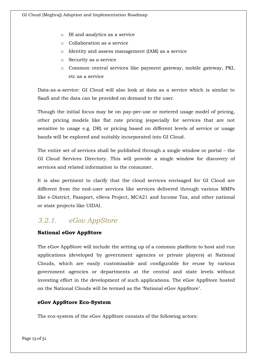- o BI and analytics as a service
- o Collaboration as a service
- o Identity and assess management (IAM) as a service
- o Security as a service
- o Common central services like payment gateway, mobile gateway, PKI, etc as a service

Data-as-a-service: GI Cloud will also look at data as a service which is similar to SaaS and the data can be provided on demand to the user.

Though the initial focus may be on pay-per-use or metered usage model of pricing, other pricing models like flat rate pricing (especially for services that are not sensitive to usage e.g. DR) or pricing based on different levels of service or usage bands will be explored and suitably incorporated into GI Cloud.

The entire set of services shall be published through a single window or portal – the GI Cloud Services Directory. This will provide a single window for discovery of services and related information to the consumer.

It is also pertinent to clarify that the cloud services envisaged for GI Cloud are different from the end-user services like services delivered through various MMPs like e-District, Passport, eSeva Project, MCA21 and Income Tax, and other national or state projects like UIDAI.

### *3.2.1. eGov AppStore*

### **National eGov AppStore**

The eGov AppStore will include the setting up of a common platform to host and run applications (developed by government agencies or private players) at National Clouds, which are easily customisable and configurable for reuse by various government agencies or departments at the central and state levels without investing effort in the development of such applications. The eGov AppStore hosted on the National Clouds will be termed as the 'National eGov AppStore'.

### **eGov AppStore Eco-System**

The eco-system of the eGov AppStore consists of the following actors: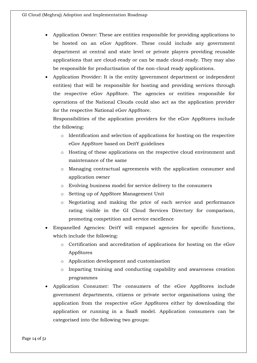- Application Owner: These are entities responsible for providing applications to be hosted on an eGov AppStore. These could include any government department at central and state level or private players providing reusable applications that are cloud-ready or can be made cloud-ready. They may also be responsible for productisation of the non-cloud ready applications.
- Application Provider: It is the entity (government department or independent entities) that will be responsible for hosting and providing services through the respective eGov AppStore. The agencies or entities responsible for operations of the National Clouds could also act as the application provider for the respective National eGov AppStore.

Responsibilities of the application providers for the eGov AppStores include the following:

- o Identification and selection of applications for hosting on the respective eGov AppStore based on DeitY guidelines
- o Hosting of these applications on the respective cloud environment and maintenance of the same
- o Managing contractual agreements with the application consumer and application owner
- o Evolving business model for service delivery to the consumers
- o Setting up of AppStore Management Unit
- o Negotiating and making the price of each service and performance rating visible in the GI Cloud Services Directory for comparison, promoting competition and service excellence
- Empanelled Agencies: DeitY will empanel agencies for specific functions, which include the following:
	- o Certification and accreditation of applications for hosting on the eGov AppStores
	- o Application development and customisation
	- o Imparting training and conducting capability and awareness creation programmes
- Application Consumer: The consumers of the eGov AppStores include government departments, citizens or private sector organisations using the application from the respective eGov AppStores either by downloading the application or running in a SaaS model. Application consumers can be categorised into the following two groups: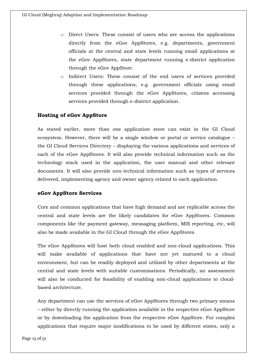- o Direct Users: These consist of users who are access the applications directly from the eGov AppStores, e.g. departments, government officials at the central and state levels running email applications at the eGov AppStores, state department running e-district application through the eGov AppStore.
- o Indirect Users: These consist of the end users of services provided through these applications, e.g. government officials using email services provided through the eGov AppStores, citizens accessing services provided through e-district application.

#### **Hosting of eGov AppStore**

As stated earlier, more than one application store can exist in the GI Cloud ecosystem. However, there will be a single window or portal or service catalogue – the GI Cloud Services Directory – displaying the various applications and services of each of the eGov AppStores. It will also provide technical information such as the technology stack used in the application, the user manual and other relevant documents. It will also provide non-technical information such as types of services delivered, implementing agency and owner agency related to each application.

#### **eGov AppStore Services**

Core and common applications that have high demand and are replicable across the central and state levels are the likely candidates for eGov AppStores. Common components like the payment gateway, messaging platform, MIS reporting, etc, will also be made available in the GI Cloud through the eGov AppStores.

The eGov AppStores will host both cloud enabled and non-cloud applications. This will make available of applications that have not yet matured to a cloud environment, but can be readily deployed and utilised by other departments at the central and state levels with suitable customisations. Periodically, an assessment will also be conducted for feasibility of enabling non-cloud applications to cloudbased architecture.

Any department can use the services of eGov AppStores through two primary means – either by directly running the application available in the respective eGov AppStore or by downloading the application from the respective eGov AppStore. For complex applications that require major modifications to be used by different states, only a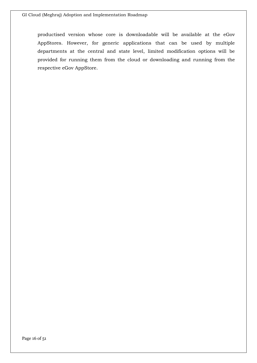productised version whose core is downloadable will be available at the eGov AppStores. However, for generic applications that can be used by multiple departments at the central and state level, limited modification options will be provided for running them from the cloud or downloading and running from the respective eGov AppStore.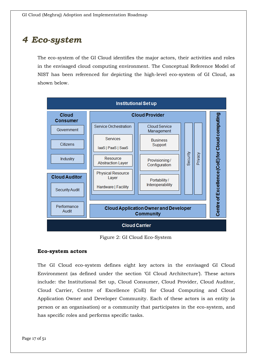## <span id="page-16-0"></span>*4 Eco-system*

The eco-system of the GI Cloud identifies the major actors, their activities and roles in the envisaged cloud computing environment. The Conceptual Reference Model of NIST has been referenced for depicting the high-level eco-system of GI Cloud, as shown below.



Figure 2: GI Cloud Eco-System

#### **Eco-system actors**

The GI Cloud eco-system defines eight key actors in the envisaged GI Cloud Environment (as defined under the section 'GI Cloud Architecture'). These actors include: the Institutional Set up, Cloud Consumer, Cloud Provider, Cloud Auditor, Cloud Carrier, Centre of Excellence (CoE) for Cloud Computing and Cloud Application Owner and Developer Community. Each of these actors is an entity (a person or an organisation) or a community that participates in the eco-system, and has specific roles and performs specific tasks.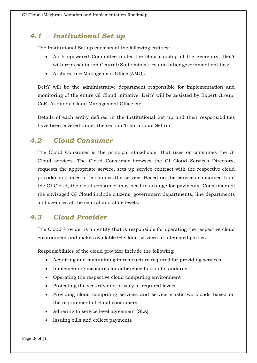### <span id="page-17-0"></span>*4.1 Institutional Set up*

The Institutional Set up consists of the following entities:

- An Empowered Committee under the chairmanship of the Secretary, DeitY with representation Central/State ministries and other government entities;
- Architecture Management Office (AMO).

DeitY will be the administrative department responsible for implementation and monitoring of the entire GI Cloud initiative. DeitY will be assisted by Expert Group, CoE, Auditors, Cloud Management Office etc.

Details of each entity defined in the Institutional Set up and their responsibilities have been covered under the section 'Institutional Set up'.

### <span id="page-17-1"></span>*4.2 Cloud Consumer*

The Cloud Consumer is the principal stakeholder that uses or consumes the GI Cloud services. The Cloud Consumer browses the GI Cloud Services Directory, requests the appropriate service, sets up service contract with the respective cloud provider and uses or consumes the service. Based on the services consumed from the GI Cloud, the cloud consumer may need to arrange for payments. Consumers of the envisaged GI Cloud include citizens, government departments, line departments and agencies at the central and state levels.

### <span id="page-17-2"></span>*4.3 Cloud Provider*

The Cloud Provider is an entity that is responsible for operating the respective cloud environment and makes available GI Cloud services to interested parties.

Responsibilities of the cloud provider include the following:

- Acquiring and maintaining infrastructure required for providing services
- Implementing measures for adherence to cloud standards
- Operating the respective cloud computing environment
- Protecting the security and privacy at required levels
- Providing cloud computing services and service elastic workloads based on the requirement of cloud consumers
- Adhering to service level agreement (SLA)
- Issuing bills and collect payments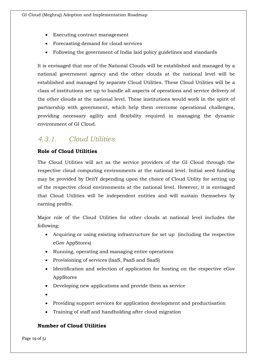- Executing contract management
- Forecasting demand for cloud services
- Following the government of India laid policy guidelines and standards

It is envisaged that one of the National Clouds will be established and managed by a national government agency and the other clouds at the national level will be established and managed by separate Cloud Utilities. These Cloud Utilities will be a class of institutions set up to handle all aspects of operations and service delivery of the other clouds at the national level. These institutions would work in the spirit of partnership with government, which help them overcome operational challenges, providing necessary agility and flexibility required in managing the dynamic environment of GI Cloud.

### *4.3.1. Cloud Utilities*

### **Role of Cloud Utilities**

The Cloud Utilities will act as the service providers of the GI Cloud through the respective cloud computing environments at the national level. Initial seed funding may be provided by DeitY depending upon the choice of Cloud Utility for setting up of the respective cloud environments at the national level. However, it is envisaged that Cloud Utilities will be independent entities and will sustain themselves by earning profits.

Major role of the Cloud Utilities for other clouds at national level includes the following:

- Acquiring or using existing infrastructure for set up (including the respective eGov AppStores)
- Running, operating and managing entire operations
- Provisioning of services (IaaS, PaaS and SaaS)
- Identification and selection of application for hosting on the respective eGov AppStores
- Developing new applications and provide them as service
- $\bullet$
- Providing support services for application development and productisation
- Training of staff and handholding after cloud migration

### **Number of Cloud Utilities**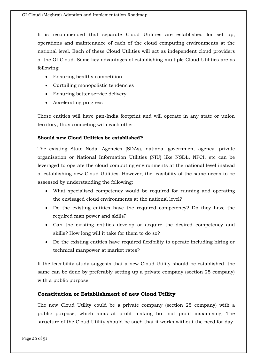It is recommended that separate Cloud Utilities are established for set up, operations and maintenance of each of the cloud computing environments at the national level. Each of these Cloud Utilities will act as independent cloud providers of the GI Cloud. Some key advantages of establishing multiple Cloud Utilities are as following:

- Ensuring healthy competition
- Curtailing monopolistic tendencies
- Ensuring better service delivery
- Accelerating progress

These entities will have pan-India footprint and will operate in any state or union territory, thus competing with each other.

#### **Should new Cloud Utilities be established?**

The existing State Nodal Agencies (SDAs), national government agency, private organisation or National Information Utilities (NIU) like NSDL, NPCI, etc can be leveraged to operate the cloud computing environments at the national level instead of establishing new Cloud Utilities. However, the feasibility of the same needs to be assessed by understanding the following:

- What specialised competency would be required for running and operating the envisaged cloud environments at the national level?
- Do the existing entities have the required competency? Do they have the required man power and skills?
- Can the existing entities develop or acquire the desired competency and skills? How long will it take for them to do so?
- Do the existing entities have required flexibility to operate including hiring or technical manpower at market rates?

If the feasibility study suggests that a new Cloud Utility should be established, the same can be done by preferably setting up a private company (section 25 company) with a public purpose.

#### **Constitution or Establishment of new Cloud Utility**

The new Cloud Utility could be a private company (section 25 company) with a public purpose, which aims at profit making but not profit maximising. The structure of the Cloud Utility should be such that it works without the need for day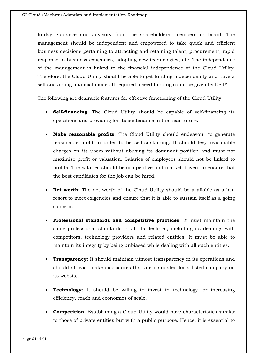to-day guidance and advisory from the shareholders, members or board. The management should be independent and empowered to take quick and efficient business decisions pertaining to attracting and retaining talent, procurement, rapid response to business exigencies, adopting new technologies, etc. The independence of the management is linked to the financial independence of the Cloud Utility. Therefore, the Cloud Utility should be able to get funding independently and have a self-sustaining financial model. If required a seed funding could be given by DeitY.

The following are desirable features for effective functioning of the Cloud Utility:

- **Self-financing**: The Cloud Utility should be capable of self-financing its operations and providing for its sustenance in the near future.
- **Make reasonable profits**: The Cloud Utility should endeavour to generate reasonable profit in order to be self-sustaining. It should levy reasonable charges on its users without abusing its dominant position and must not maximise profit or valuation. Salaries of employees should not be linked to profits. The salaries should be competitive and market driven, to ensure that the best candidates for the job can be hired.
- **Net worth**: The net worth of the Cloud Utility should be available as a last resort to meet exigencies and ensure that it is able to sustain itself as a going concern.
- **Professional standards and competitive practices**: It must maintain the same professional standards in all its dealings, including its dealings with competitors, technology providers and related entities. It must be able to maintain its integrity by being unbiased while dealing with all such entities.
- **Transparency**: It should maintain utmost transparency in its operations and should at least make disclosures that are mandated for a listed company on its website.
- **Technology**: It should be willing to invest in technology for increasing efficiency, reach and economies of scale.
- **Competition**: Establishing a Cloud Utility would have characteristics similar to those of private entities but with a public purpose. Hence, it is essential to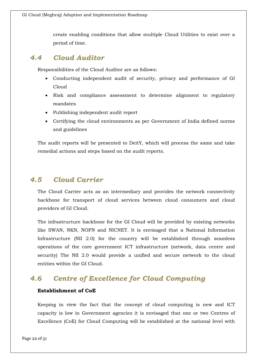create enabling conditions that allow multiple Cloud Utilities to exist over a period of time.

### <span id="page-21-0"></span>*4.4 Cloud Auditor*

Responsibilities of the Cloud Auditor are as follows:

- Conducting independent audit of security, privacy and performance of GI Cloud
- Risk and compliance assessment to determine alignment to regulatory mandates
- Publishing independent audit report
- Certifying the cloud environments as per Government of India defined norms and guidelines

The audit reports will be presented to DeitY, which will process the same and take remedial actions and steps based on the audit reports.

### <span id="page-21-1"></span>*4.5 Cloud Carrier*

The Cloud Carrier acts as an intermediary and provides the network connectivity backbone for transport of cloud services between cloud consumers and cloud providers of GI Cloud.

The infrastructure backbone for the GI Cloud will be provided by existing networks like SWAN, NKN, NOFN and NICNET. It is envisaged that a National Information Infrastructure (NII 2.0) for the country will be established through seamless operations of the core government ICT infrastructure (network, data centre and security) The NII 2.0 would provide a unified and secure network to the cloud entities within the GI Cloud.

### <span id="page-21-2"></span>*4.6 Centre of Excellence for Cloud Computing*

#### **Establishment of CoE**

Keeping in view the fact that the concept of cloud computing is new and ICT capacity is low in Government agencies it is envisaged that one or two Centres of Excellence (CoE) for Cloud Computing will be established at the national level with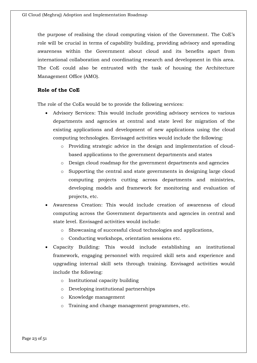the purpose of realising the cloud computing vision of the Government. The CoE's role will be crucial in terms of capability building, providing advisory and spreading awareness within the Government about cloud and its benefits apart from international collaboration and coordinating research and development in this area. The CoE could also be entrusted with the task of housing the Architecture Management Office (AMO).

#### **Role of the CoE**

The role of the CoEs would be to provide the following services:

- Advisory Services: This would include providing advisory services to various departments and agencies at central and state level for migration of the existing applications and development of new applications using the cloud computing technologies. Envisaged activities would include the following:
	- o Providing strategic advice in the design and implementation of cloudbased applications to the government departments and states
	- o Design cloud roadmap for the government departments and agencies
	- o Supporting the central and state governments in designing large cloud computing projects cutting across departments and ministries, developing models and framework for monitoring and evaluation of projects, etc.
- Awareness Creation: This would include creation of awareness of cloud computing across the Government departments and agencies in central and state level. Envisaged activities would include:
	- o Showcasing of successful cloud technologies and applications,
	- o Conducting workshops, orientation sessions etc.
- Capacity Building: This would include establishing an institutional framework, engaging personnel with required skill sets and experience and upgrading internal skill sets through training. Envisaged activities would include the following:
	- o Institutional capacity building
	- o Developing institutional partnerships
	- o Knowledge management
	- o Training and change management programmes, etc.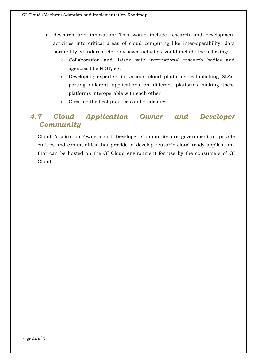- Research and innovation: This would include research and development activities into critical areas of cloud computing like inter-operability, data portability, standards, etc. Envisaged activities would include the following:
	- o Collaboration and liaison with international research bodies and agencies like NIST, etc
	- o Developing expertise in various cloud platforms, establishing SLAs, porting different applications on different platforms making these platforms interoperable with each other
	- o Creating the best practices and guidelines.

### <span id="page-23-0"></span>*4.7 Cloud Application Owner and Developer Community*

Cloud Application Owners and Developer Community are government or private entities and communities that provide or develop reusable cloud ready applications that can be hosted on the GI Cloud environment for use by the consumers of GI Cloud.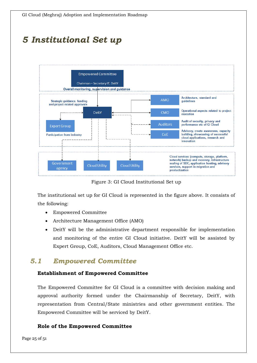# <span id="page-24-0"></span>*5 Institutional Set up*



Figure 3: GI Cloud Institutional Set up

The institutional set up for GI Cloud is represented in the figure above. It consists of the following:

- Empowered Committee
- Architecture Management Office (AMO)
- DeitY will be the administrative department responsible for implementation and monitoring of the entire GI Cloud initiative. DeitY will be assisted by Expert Group, CoE, Auditors, Cloud Management Office etc.

### <span id="page-24-1"></span>*5.1 Empowered Committee*

#### **Establishment of Empowered Committee**

The Empowered Committee for GI Cloud is a committee with decision making and approval authority formed under the Chairmanship of Secretary, DeitY, with representation from Central/State ministries and other government entities. The Empowered Committee will be serviced by DeitY.

#### **Role of the Empowered Committee**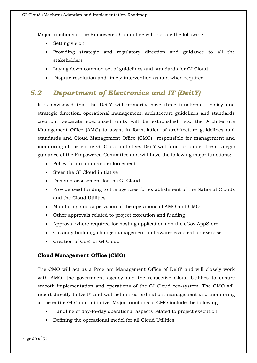Major functions of the Empowered Committee will include the following:

- Setting vision
- Providing strategic and regulatory direction and guidance to all the stakeholders
- Laying down common set of guidelines and standards for GI Cloud
- Dispute resolution and timely intervention as and when required

### <span id="page-25-0"></span>*5.2 Department of Electronics and IT (DeitY)*

It is envisaged that the DeitY will primarily have three functions – policy and strategic direction, operational management, architecture guidelines and standards creation. Separate specialised units will be established, viz. the Architecture Management Office (AMO) to assist in formulation of architecture guidelines and standards and Cloud Management Office (CMO) responsible for management and monitoring of the entire GI Cloud initiative. DeitY will function under the strategic guidance of the Empowered Committee and will have the following major functions:

- Policy formulation and enforcement
- Steer the GI Cloud initiative
- Demand assessment for the GI Cloud
- Provide seed funding to the agencies for establishment of the National Clouds and the Cloud Utilities
- Monitoring and supervision of the operations of AMO and CMO
- Other approvals related to project execution and funding
- Approval where required for hosting applications on the eGov AppStore
- Capacity building, change management and awareness creation exercise
- Creation of CoE for GI Cloud

### **Cloud Management Office (CMO)**

The CMO will act as a Program Management Office of DeitY and will closely work with AMO, the government agency and the respective Cloud Utilities to ensure smooth implementation and operations of the GI Cloud eco-system. The CMO will report directly to DeitY and will help in co-ordination, management and monitoring of the entire GI Cloud initiative. Major functions of CMO include the following:

- Handling of day-to-day operational aspects related to project execution
- Defining the operational model for all Cloud Utilities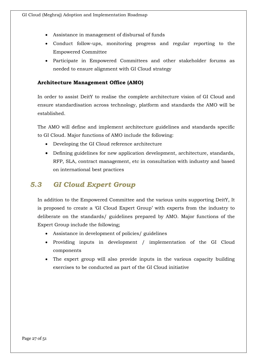- Assistance in management of disbursal of funds
- Conduct follow-ups, monitoring progress and regular reporting to the Empowered Committee
- Participate in Empowered Committees and other stakeholder forums as needed to ensure alignment with GI Cloud strategy

#### **Architecture Management Office (AMO)**

In order to assist DeitY to realise the complete architecture vision of GI Cloud and ensure standardisation across technology, platform and standards the AMO will be established.

The AMO will define and implement architecture guidelines and standards specific to GI Cloud. Major functions of AMO include the following:

- Developing the GI Cloud reference architecture
- Defining guidelines for new application development, architecture, standards, RFP, SLA, contract management, etc in consultation with industry and based on international best practices

### <span id="page-26-0"></span>*5.3 GI Cloud Expert Group*

In addition to the Empowered Committee and the various units supporting DeitY, It is proposed to create a 'GI Cloud Expert Group' with experts from the industry to deliberate on the standards/ guidelines prepared by AMO. Major functions of the Expert Group include the following;

- Assistance in development of policies/ guidelines
- Providing inputs in development / implementation of the GI Cloud components
- The expert group will also provide inputs in the various capacity building exercises to be conducted as part of the GI Cloud initiative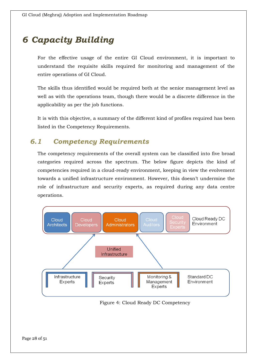# <span id="page-27-0"></span>*6 Capacity Building*

For the effective usage of the entire GI Cloud environment, it is important to understand the requisite skills required for monitoring and management of the entire operations of GI Cloud.

The skills thus identified would be required both at the senior management level as well as with the operations team, though there would be a discrete difference in the applicability as per the job functions.

It is with this objective, a summary of the different kind of profiles required has been listed in the Competency Requirements.

### <span id="page-27-1"></span>*6.1 Competency Requirements*

The competency requirements of the overall system can be classified into five broad categories required across the spectrum. The below figure depicts the kind of competencies required in a cloud-ready environment, keeping in view the evolvement towards a unified infrastructure environment. However, this doesn't undermine the role of infrastructure and security experts, as required during any data centre operations.



Figure 4: Cloud Ready DC Competency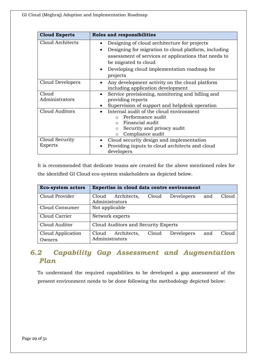| <b>Cloud Experts</b> | <b>Roles and responsibilities</b>                        |
|----------------------|----------------------------------------------------------|
| Cloud Architects     | Designing of cloud architecture for projects             |
|                      | Designing for migration to cloud platform, including     |
|                      | assessment of services or applications that needs to     |
|                      | be migrated to cloud                                     |
|                      | Developing cloud implementation roadmap for<br>$\bullet$ |
|                      | projects                                                 |
| Cloud Developers     | Any development activity on the cloud platform           |
|                      | including application development                        |
| Cloud                | Service provisioning, monitoring and billing and         |
| Administrators       | providing reports                                        |
|                      | Supervision of support and helpdesk operation            |
| Cloud Auditors       | Internal audit of the cloud environment                  |
|                      | o Performance audit                                      |
|                      | $\circ$ Financial audit                                  |
|                      | Security and privacy audit<br>$\circ$                    |
|                      | Compliance audit<br>$\circ$                              |
| Cloud Security       | Cloud security design and implementation                 |
| Experts              | Providing inputs to cloud architects and cloud           |
|                      | developers                                               |

It is recommended that dedicate teams are created for the above mentioned roles for the identified GI Cloud eco-system stakeholders as depicted below.

| <b>Eco-system actors</b>    | Expertise in cloud data centre environment                                    |  |  |  |  |
|-----------------------------|-------------------------------------------------------------------------------|--|--|--|--|
| Cloud Provider              | Cloud<br>Architects,<br>Cloud<br>Developers<br>Cloud<br>and<br>Administrators |  |  |  |  |
| Cloud Consumer              | Not applicable                                                                |  |  |  |  |
| Cloud Carrier               | Network experts                                                               |  |  |  |  |
| Cloud Auditor               | Cloud Auditors and Security Experts                                           |  |  |  |  |
| Cloud Application<br>Owners | Cloud<br>Architects,<br>Developers<br>Cloud<br>Cloud<br>and<br>Administrators |  |  |  |  |

### <span id="page-28-0"></span>*6.2 Capability Gap Assessment and Augmentation Plan*

To understand the required capabilities to be developed a gap assessment of the present environment needs to be done following the methodology depicted below: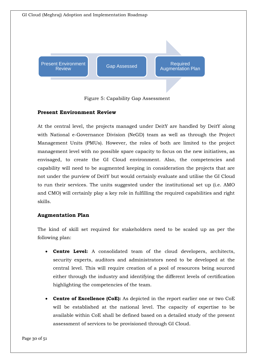

Figure 5: Capability Gap Assessment

### **Present Environment Review**

At the central level, the projects managed under DeitY are handled by DeitY along with National e-Governance Division (NeGD) team as well as through the Project Management Units (PMUs). However, the roles of both are limited to the project management level with no possible spare capacity to focus on the new initiatives, as envisaged, to create the GI Cloud environment. Also, the competencies and capability will need to be augmented keeping in consideration the projects that are not under the purview of DeitY but would certainly evaluate and utilise the GI Cloud to run their services. The units suggested under the institutional set up (i.e. AMO and CMO) will certainly play a key role in fulfilling the required capabilities and right skills.

### **Augmentation Plan**

The kind of skill set required for stakeholders need to be scaled up as per the following plan:

- **Centre Level:** A consolidated team of the cloud developers, architects, security experts, auditors and administrators need to be developed at the central level. This will require creation of a pool of resources being sourced either through the industry and identifying the different levels of certification highlighting the competencies of the team.
- **Centre of Excellence (CoE):** As depicted in the report earlier one or two CoE will be established at the national level. The capacity of expertise to be available within CoE shall be defined based on a detailed study of the present assessment of services to be provisioned through GI Cloud.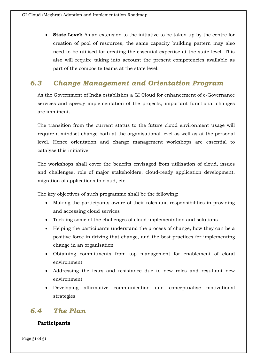**State Level:** As an extension to the initiative to be taken up by the centre for creation of pool of resources, the same capacity building pattern may also need to be utilised for creating the essential expertise at the state level. This also will require taking into account the present competencies available as part of the composite teams at the state level.

### <span id="page-30-0"></span>*6.3 Change Management and Orientation Program*

As the Government of India establishes a GI Cloud for enhancement of e-Governance services and speedy implementation of the projects, important functional changes are imminent.

The transition from the current status to the future cloud environment usage will require a mindset change both at the organisational level as well as at the personal level. Hence orientation and change management workshops are essential to catalyse this initiative.

The workshops shall cover the benefits envisaged from utilisation of cloud, issues and challenges, role of major stakeholders, cloud-ready application development, migration of applications to cloud, etc.

The key objectives of such programme shall be the following:

- Making the participants aware of their roles and responsibilities in providing and accessing cloud services
- Tackling some of the challenges of cloud implementation and solutions
- Helping the participants understand the process of change, how they can be a positive force in driving that change, and the best practices for implementing change in an organisation
- Obtaining commitments from top management for enablement of cloud environment
- Addressing the fears and resistance due to new roles and resultant new environment
- Developing affirmative communication and conceptualise motivational strategies

### <span id="page-30-1"></span>*6.4 The Plan*

### **Participants**

Page 31 of 51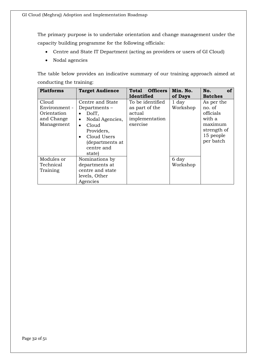The primary purpose is to undertake orientation and change management under the capacity building programme for the following officials:

- Centre and State IT Department (acting as providers or users of GI Cloud)
- Nodal agencies

The table below provides an indicative summary of our training approach aimed at conducting the training:

| <b>Platforms</b>                                                  | <b>Target Audience</b>                                                                                                                                                                            | <b>Officers</b><br>Total                                                   | Min. No.          | No.<br><b>of</b>                                                                                |
|-------------------------------------------------------------------|---------------------------------------------------------------------------------------------------------------------------------------------------------------------------------------------------|----------------------------------------------------------------------------|-------------------|-------------------------------------------------------------------------------------------------|
|                                                                   |                                                                                                                                                                                                   | Identified                                                                 | of Days           | <b>Batches</b>                                                                                  |
| Cloud<br>Environment -<br>Orientation<br>and Change<br>Management | Centre and State<br>Departments-<br>DoIT,<br>$\bullet$<br>Nodal Agencies,<br>$\bullet$<br>Cloud<br>$\bullet$<br>Providers,<br>Cloud Users<br>$\bullet$<br>(departments at<br>centre and<br>state) | To be identified<br>as part of the<br>actual<br>implementation<br>exercise | 1 day<br>Workshop | As per the<br>no. of<br>officials<br>with a<br>maximum<br>strength of<br>15 people<br>per batch |
| Modules or<br>Technical<br>Training                               | Nominations by<br>departments at<br>centre and state<br>levels, Other<br>Agencies                                                                                                                 |                                                                            | 6 day<br>Workshop |                                                                                                 |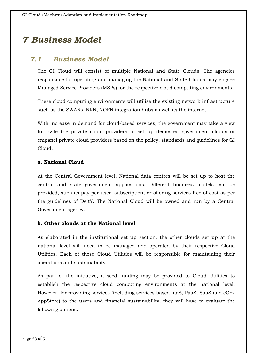# <span id="page-32-0"></span>*7 Business Model*

### <span id="page-32-1"></span>*7.1 Business Model*

The GI Cloud will consist of multiple National and State Clouds. The agencies responsible for operating and managing the National and State Clouds may engage Managed Service Providers (MSPs) for the respective cloud computing environments.

These cloud computing environments will utilise the existing network infrastructure such as the SWANs, NKN, NOFN integration hubs as well as the internet.

With increase in demand for cloud-based services, the government may take a view to invite the private cloud providers to set up dedicated government clouds or empanel private cloud providers based on the policy, standards and guidelines for GI Cloud.

#### **a. National Cloud**

At the Central Government level, National data centres will be set up to host the central and state government applications. Different business models can be provided, such as pay-per-user, subscription, or offering services free of cost as per the guidelines of DeitY. The National Cloud will be owned and run by a Central Government agency.

#### **b. Other clouds at the National level**

As elaborated in the institutional set up section, the other clouds set up at the national level will need to be managed and operated by their respective Cloud Utilities. Each of these Cloud Utilities will be responsible for maintaining their operations and sustainability.

As part of the initiative, a seed funding may be provided to Cloud Utilities to establish the respective cloud computing environments at the national level. However, for providing services (including services based IaaS, PaaS, SaaS and eGov AppStore) to the users and financial sustainability, they will have to evaluate the following options: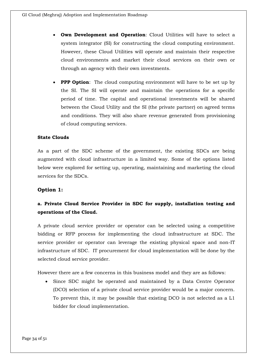- **Own Development and Operation**: Cloud Utilities will have to select a system integrator (SI) for constructing the cloud computing environment. However, these Cloud Utilities will operate and maintain their respective cloud environments and market their cloud services on their own or through an agency with their own investments.
- **PPP Option**: The cloud computing environment will have to be set up by the SI. The SI will operate and maintain the operations for a specific period of time. The capital and operational investments will be shared between the Cloud Utility and the SI (the private partner) on agreed terms and conditions. They will also share revenue generated from provisioning of cloud computing services.

#### **State Clouds**

As a part of the SDC scheme of the government, the existing SDCs are being augmented with cloud infrastructure in a limited way. Some of the options listed below were explored for setting up, operating, maintaining and marketing the cloud services for the SDCs.

#### **Option 1:**

### **a. Private Cloud Service Provider in SDC for supply, installation testing and operations of the Cloud.**

A private cloud service provider or operator can be selected using a competitive bidding or RFP process for implementing the cloud infrastructure at SDC. The service provider or operator can leverage the existing physical space and non-IT infrastructure of SDC. IT procurement for cloud implementation will be done by the selected cloud service provider.

However there are a few concerns in this business model and they are as follows:

 Since SDC might be operated and maintained by a Data Centre Operator (DCO) selection of a private cloud service provider would be a major concern. To prevent this, it may be possible that existing DCO is not selected as a L1 bidder for cloud implementation.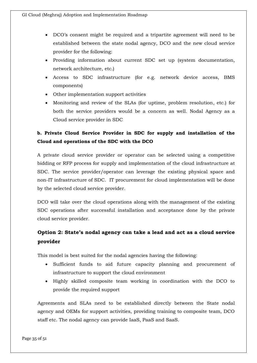- DCO's consent might be required and a tripartite agreement will need to be established between the state nodal agency, DCO and the new cloud service provider for the following:
- Providing information about current SDC set up (system documentation, network architecture, etc.)
- Access to SDC infrastructure (for e.g. network device access, BMS components)
- Other implementation support activities
- Monitoring and review of the SLAs (for uptime, problem resolution, etc.) for both the service providers would be a concern as well. Nodal Agency as a Cloud service provider in SDC

### **b. Private Cloud Service Provider in SDC for supply and installation of the Cloud and operations of the SDC with the DCO**

A private cloud service provider or operator can be selected using a competitive bidding or RFP process for supply and implementation of the cloud infrastructure at SDC. The service provider/operator can leverage the existing physical space and non-IT infrastructure of SDC. IT procurement for cloud implementation will be done by the selected cloud service provider.

DCO will take over the cloud operations along with the management of the existing SDC operations after successful installation and acceptance done by the private cloud service provider.

### **Option 2: State's nodal agency can take a lead and act as a cloud service provider**

This model is best suited for the nodal agencies having the following:

- Sufficient funds to aid future capacity planning and procurement of infrastructure to support the cloud environment
- Highly skilled composite team working in coordination with the DCO to provide the required support

Agreements and SLAs need to be established directly between the State nodal agency and OEMs for support activities, providing training to composite team, DCO staff etc. The nodal agency can provide IaaS, PaaS and SaaS.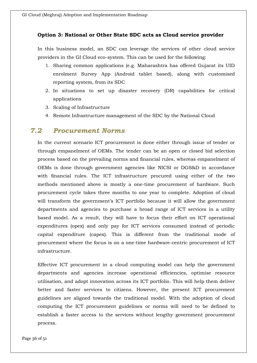#### **Option 3: National or Other State SDC acts as Cloud service provider**

In this business model, an SDC can leverage the services of other cloud service providers in the GI Cloud eco-system. This can be used for the following:

- 1. Sharing common applications (e.g. Maharashtra has offered Gujarat its UID enrolment Survey App (Android tablet based), along with customised reporting system, from its SDC
- 2. In situations to set up disaster recovery (DR) capabilities for critical applications
- 3. Scaling of Infrastructure
- 4. Remote Infrastructure management of the SDC by the National Cloud

### <span id="page-35-0"></span>*7.2 Procurement Norms*

In the current scenario ICT procurement is done either through issue of tender or through empanelment of OEMs. The tender can be an open or closed bid selection process based on the prevailing norms and financial rules, whereas empanelment of OEMs is done through government agencies like NICSI or DGS&D in accordance with financial rules. The ICT infrastructure procured using either of the two methods mentioned above is mostly a one-time procurement of hardware. Such procurement cycle takes three months to one year to complete. Adoption of cloud will transform the government's ICT portfolio because it will allow the government departments and agencies to purchase a broad range of ICT services in a utility based model. As a result, they will have to focus their effort on ICT operational expenditures (opex) and only pay for ICT services consumed instead of periodic capital expenditure (capex). This is different from the traditional mode of procurement where the focus is on a one-time hardware-centric procurement of ICT infrastructure.

Effective ICT procurement in a cloud computing model can help the government departments and agencies increase operational efficiencies, optimise resource utilisation, and adopt innovation across its ICT portfolio. This will help them deliver better and faster services to citizens. However, the present ICT procurement guidelines are aligned towards the traditional model. With the adoption of cloud computing the ICT procurement guidelines or norms will need to be defined to establish a faster access to the services without lengthy government procurement process.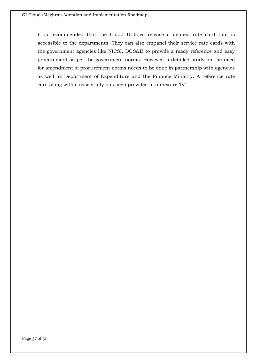It is recommended that the Cloud Utilities release a defined rate card that is accessible to the departments. They can also empanel their service rate cards with the government agencies like NICSI, DGS&D to provide a ready reference and easy procurement as per the government norms. However, a detailed study on the need for amendment of procurement norms needs to be done in partnership with agencies as well as Department of Expenditure and the Finance Ministry. A reference rate card along with a case study has been provided in annexure 'IV'.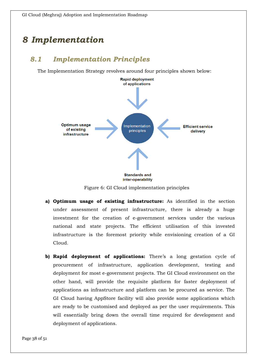# <span id="page-37-0"></span>*8 Implementation*

### <span id="page-37-1"></span>*8.1 Implementation Principles*

The Implementation Strategy revolves around four principles shown below:



Figure 6: GI Cloud implementation principles

- **a) Optimum usage of existing infrastructure:** As identified in the section under assessment of present infrastructure, there is already a huge investment for the creation of e-government services under the various national and state projects. The efficient utilisation of this invested infrastructure is the foremost priority while envisioning creation of a GI Cloud.
- **b) Rapid deployment of applications:** There's a long gestation cycle of procurement of infrastructure, application development, testing and deployment for most e-government projects. The GI Cloud environment on the other hand, will provide the requisite platform for faster deployment of applications as infrastructure and platform can be procured as service. The GI Cloud having AppStore facility will also provide some applications which are ready to be customised and deployed as per the user requirements. This will essentially bring down the overall time required for development and deployment of applications.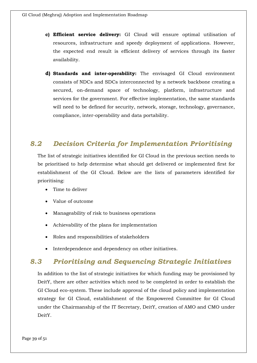- **c) Efficient service delivery:** GI Cloud will ensure optimal utilisation of resources, infrastructure and speedy deployment of applications. However, the expected end result is efficient delivery of services through its faster availability.
- **d) Standards and inter-operability:** The envisaged GI Cloud environment consists of NDCs and SDCs interconnected by a network backbone creating a secured, on-demand space of technology, platform, infrastructure and services for the government. For effective implementation, the same standards will need to be defined for security, network, storage, technology, governance, compliance, inter-operability and data portability.

### <span id="page-38-0"></span>*8.2 Decision Criteria for Implementation Prioritising*

The list of strategic initiatives identified for GI Cloud in the previous section needs to be prioritised to help determine what should get delivered or implemented first for establishment of the GI Cloud. Below are the lists of parameters identified for prioritising:

- Time to deliver
- Value of outcome
- Manageability of risk to business operations
- Achievability of the plans for implementation
- Roles and responsibilities of stakeholders
- Interdependence and dependency on other initiatives.

### <span id="page-38-1"></span>*8.3 Prioritising and Sequencing Strategic Initiatives*

In addition to the list of strategic initiatives for which funding may be provisioned by DeitY, there are other activities which need to be completed in order to establish the GI Cloud eco-system. These include approval of the cloud policy and implementation strategy for GI Cloud, establishment of the Empowered Committee for GI Cloud under the Chairmanship of the IT Secretary, DeitY, creation of AMO and CMO under DeitY.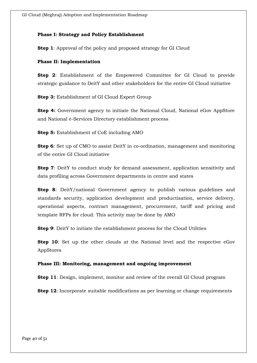#### **Phase I: Strategy and Policy Establishment**

**Step 1**: Approval of the policy and proposed strategy for GI Cloud

#### **Phase II: Implementation**

**Step 2**: Establishment of the Empowered Committee for GI Cloud to provide strategic guidance to DeitY and other stakeholders for the entire GI Cloud initiative

**Step 3:** Establishment of GI Cloud Expert Group

**Step 4:** Government agency to initiate the National Cloud, National eGov AppStore and National e-Services Directory establishment process

**Step 5:** Establishment of CoE including AMO

**Step 6**: Set up of CMO to assist DeitY in co-ordination, management and monitoring of the entire GI Cloud initiative

**Step 7**: DeitY to conduct study for demand assessment, application sensitivity and data profiling across Government departments in centre and states

**Step 8**: DeitY/national Government agency to publish various guidelines and standards security, application development and productisation, service delivery, operational aspects, contract management, procurement, tariff and pricing and template RFPs for cloud. This activity may be done by AMO

**Step 9**: DeitY to initiate the establishment process for the Cloud Utilities

**Step 10**: Set up the other clouds at the National level and the respective eGov AppStores

#### **Phase III: Monitoring, management and ongoing improvement**

**Step 11**: Design, implement, monitor and review of the overall GI Cloud program

**Step 12**: Incorporate suitable modifications as per learning or change requirements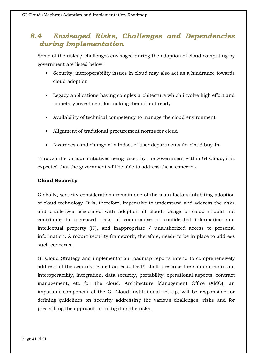### <span id="page-40-0"></span>*8.4 Envisaged Risks, Challenges and Dependencies during Implementation*

Some of the risks / challenges envisaged during the adoption of cloud computing by government are listed below:

- Security, interoperability issues in cloud may also act as a hindrance towards cloud adoption
- Legacy applications having complex architecture which involve high effort and monetary investment for making them cloud ready
- Availability of technical competency to manage the cloud environment
- Alignment of traditional procurement norms for cloud
- Awareness and change of mindset of user departments for cloud buy-in

Through the various initiatives being taken by the government within GI Cloud, it is expected that the government will be able to address these concerns.

### **Cloud Security**

Globally, security considerations remain one of the main factors inhibiting adoption of cloud technology. It is, therefore, imperative to understand and address the risks and challenges associated with adoption of cloud. Usage of cloud should not contribute to increased risks of compromise of confidential information and intellectual property (IP), and inappropriate / unauthorized access to personal information. A robust security framework, therefore, needs to be in place to address such concerns.

GI Cloud Strategy and implementation roadmap reports intend to comprehensively address all the security related aspects. DeitY shall prescribe the standards around interoperability, integration, data security**,** portability, operational aspects, contract management, etc for the cloud. Architecture Management Office (AMO), an important component of the GI Cloud institutional set up, will be responsible for defining guidelines on security addressing the various challenges, risks and for prescribing the approach for mitigating the risks.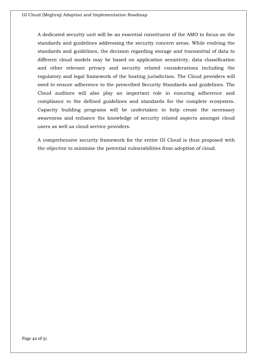A dedicated security unit will be an essential constituent of the AMO to focus on the standards and guidelines addressing the security concern areas. While evolving the standards and guidelines, the decision regarding storage and transmittal of data to different cloud models may be based on application sensitivity, data classification and other relevant privacy and security related considerations including the regulatory and legal framework of the hosting jurisdiction. The Cloud providers will need to ensure adherence to the prescribed Security Standards and guidelines. The Cloud auditors will also play an important role in ensuring adherence and compliance to the defined guidelines and standards for the complete ecosystem. Capacity building programs will be undertaken to help create the necessary awareness and enhance the knowledge of security related aspects amongst cloud users as well as cloud service providers.

A comprehensive security framework for the entire GI Cloud is thus proposed with the objective to minimise the potential vulnerabilities from adoption of cloud.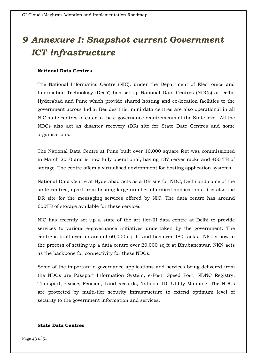# <span id="page-42-0"></span>*9 Annexure I: Snapshot current Government ICT infrastructure*

#### **National Data Centres**

The National Informatics Centre (NIC), under the Department of Electronics and Information Technology (DeitY) has set up National Data Centres (NDCs) at Delhi, Hyderabad and Pune which provide shared hosting and co-location facilities to the government across India. Besides this, mini data centres are also operational in all NIC state centres to cater to the e-governance requirements at the State level. All the NDCs also act as disaster recovery (DR) site for State Date Centres and some organisations.

The National Data Centre at Pune built over 10,000 square feet was commissioned in March 2010 and is now fully operational, having 137 server racks and 400 TB of storage. The centre offers a virtualised environment for hosting application systems.

National Data Centre at Hyderabad acts as a DR site for NDC, Delhi and some of the state centres, apart from hosting large number of critical applications. It is also the DR site for the messaging services offered by NIC. The data centre has around 600TB of storage available for these services.

NIC has recently set up a state of the art tier-III data centre at Delhi to provide services to various e-governance initiatives undertaken by the government. The centre is built over an area of 60,000 sq. ft. and has over 480 racks. NIC is now in the process of setting up a data centre over 20,000 sq ft at Bhubaneswar. NKN acts as the backbone for connectivity for these NDCs.

Some of the important e-governance applications and services being delivered from the NDCs are Passport Information System, e-Post, Speed Post, NDNC Registry, Transport, Excise, Pension, Land Records, National ID, Utility Mapping, The NDCs are protected by multi-tier security infrastructure to extend optimum level of security to the government information and services.

#### **State Data Centres**

Page 43 of 51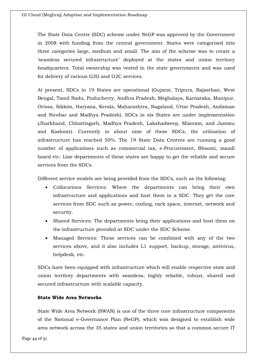The State Data Centre (SDC) scheme under NeGP was approved by the Government in 2008 with funding from the central government. States were categorised into three categories large, medium and small. The aim of the scheme was to create a 'seamless secured infrastructure' deployed at the states and union territory headquarters. Total ownership was vested in the state governments and was used for delivery of various G2G and G2C services.

At present, SDCs in 19 States are operational (Gujarat, Tripura, Rajasthan, West Bengal, Tamil Nadu, Puducherry, Andhra Pradesh, Meghalaya, Karnataka, Manipur, Orissa, Sikkim, Haryana, Kerala, Maharashtra, Nagaland, Uttar Pradesh, Andaman and Nicobar and Madhya Pradesh). SDCs in six States are under implementation (Jharkhand, Chhattisgarh, Madhya Pradesh, Lakshadweep, Mizoram, and Jammu and Kashmir). Currently in about nine of these SDCs, the utilisation of infrastructure has reached 50%. The 19 State Data Centres are running a good number of applications such as commercial tax, e-Procurement, Bhoomi, mandi board etc. Line departments of these states are happy to get the reliable and secure services from the SDCs.

Different service models are being provided from the SDCs, such as the following:

- Collocations Services: Where the departments can bring their own infrastructure and applications and host them in a SDC. They get the core services from SDC such as power, cooling, rack space, internet, network and security.
- Shared Services: The departments bring their applications and host them on the infrastructure provided at SDC under the SDC Scheme.
- Managed Services: These services can be combined with any of the two services above, and it also includes L1 support, backup, storage, antivirus, helpdesk, etc.

SDCs have been equipped with infrastructure which will enable respective state and union territory departments with seamless, highly reliable, robust, shared and secured infrastructure with scalable capacity.

#### **State Wide Area Networks**

State Wide Area Network (SWAN) is one of the three core infrastructure components of the National e-Governance Plan (NeGP), which was designed to establish wide area network across the 35 states and union territories so that a common secure IT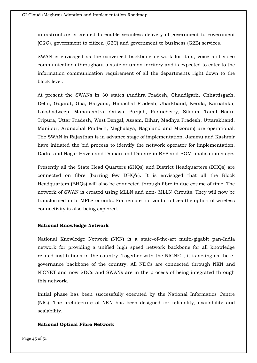infrastructure is created to enable seamless delivery of government to government (G2G), government to citizen (G2C) and government to business (G2B) services.

SWAN is envisaged as the converged backbone network for data, voice and video communications throughout a state or union territory and is expected to cater to the information communication requirement of all the departments right down to the block level.

At present the SWANs in 30 states (Andhra Pradesh, Chandigarh, Chhattisgarh, Delhi, Gujarat, Goa, Haryana, Himachal Pradesh, Jharkhand, Kerala, Karnataka, Lakshadweep, Maharashtra, Orissa, Punjab, Puducherry, Sikkim, Tamil Nadu, Tripura, Uttar Pradesh, West Bengal, Assam, Bihar, Madhya Pradesh, Uttarakhand, Manipur, Arunachal Pradesh, Meghalaya, Nagaland and Mizoram) are operational. The SWAN in Rajasthan is in advance stage of implementation. Jammu and Kashmir have initiated the bid process to identify the network operator for implementation. Dadra and Nagar Haveli and Daman and Diu are in RFP and BOM finalisation stage.

Presently all the State Head Quarters (SHQs) and District Headquarters (DHQs) are connected on fibre (barring few DHQ's). It is envisaged that all the Block Headquarters (BHQs) will also be connected through fibre in due course of time. The network of SWAN is created using MLLN and non- MLLN Circuits. They will now be transformed in to MPLS circuits. For remote horizontal offices the option of wireless connectivity is also being explored.

#### **National Knowledge Network**

National Knowledge Network (NKN) is a state-of-the-art multi-gigabit pan-India network for providing a unified high speed network backbone for all knowledge related institutions in the country. Together with the NICNET, it is acting as the egovernance backbone of the country. All NDCs are connected through NKN and NICNET and now SDCs and SWANs are in the process of being integrated through this network.

Initial phase has been successfully executed by the National Informatics Centre (NIC). The architecture of NKN has been designed for reliability, availability and scalability.

#### **National Optical Fibre Network**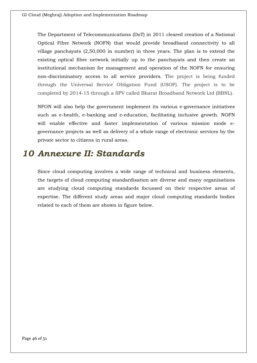The Department of Telecommunications (DoT) in 2011 cleared creation of a National Optical Fibre Network (NOFN) that would provide broadband connectivity to all village panchayats (2,50,000 in number) in three years. The plan is to extend the existing optical fibre network initially up to the panchayats and then create an institutional mechanism for management and operation of the NOFN for ensuring non-discriminatory access to all service providers. The project is being funded through the Universal Service Obligation Fund (USOF). The project is to be completed by 2014-15 through a SPV called Bharat Broadband Network Ltd (BBNL).

NFON will also help the government implement its various e-governance initiatives such as e-health, e-banking and e-education, facilitating inclusive growth. NOFN will enable effective and faster implementation of various mission mode egovernance projects as well as delivery of a whole range of electronic services by the private sector to citizens in rural areas.

## <span id="page-45-0"></span>*10 Annexure II: Standards*

Since cloud computing involves a wide range of technical and business elements, the targets of cloud computing standardisation are diverse and many organisations are studying cloud computing standards focussed on their respective areas of expertise. The different study areas and major cloud computing standards bodies related to each of them are shown in figure below.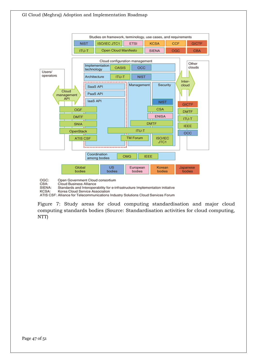

OGC: Open Government Cloud consortium CBA: Cloud Business Alliance

SIENA: Standards and Interoperability for e-infrastructure Implementation initiative

KCSA: Korea Cloud Service Association

ATIS CSF: Alliance for Telecommunications Industry Solutions Cloud Services Forum

Figure 7: Study areas for cloud computing standardisation and major cloud computing standards bodies (Source: Standardisation activities for cloud computing, NTT)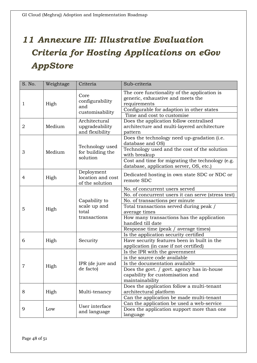# <span id="page-47-0"></span>*11 Annexure III: Illustrative Evaluation Criteria for Hosting Applications on eGov AppStore*

| S. No.         | Weightage | Criteria                                               | Sub-criteria                                                                                                                                                                                                                                                                                 |
|----------------|-----------|--------------------------------------------------------|----------------------------------------------------------------------------------------------------------------------------------------------------------------------------------------------------------------------------------------------------------------------------------------------|
| 1              | High      | Core<br>configurability<br>and<br>customisability      | The core functionality of the application is<br>generic, exhaustive and meets the<br>requirements<br>Configurable for adaption in other states<br>Time and cost to customise                                                                                                                 |
| $\overline{2}$ | Medium    | Architectural<br>upgradeability<br>and flexibility     | Does the application follow centralised<br>architecture and multi-layered architecture<br>pattern                                                                                                                                                                                            |
| 3              | Medium    | Technology used<br>for building the<br>solution        | Does the technology need up-gradation (i.e.<br>database and OS)<br>Technology used and the cost of the solution<br>with breakup<br>Cost and time for migrating the technology (e.g.                                                                                                          |
| 4              | High      | Deployment<br>location and cost<br>of the solution     | database, application server, OS, etc.)<br>Dedicated hosting in own state SDC or NDC or<br>remote SDC                                                                                                                                                                                        |
| 5              | High      | Capability to<br>scale up and<br>total<br>transactions | No. of concurrent users served<br>No. of concurrent users it can serve (stress test)<br>No. of transactions per minute<br>Total transactions served during peak /<br>average times<br>How many transactions has the application<br>handled till date<br>Response time (peak / average times) |
| 6              | High      | Security                                               | Is the application security certified<br>Have security features been in built in the<br>application (in case if not certified)                                                                                                                                                               |
| 7              | High      | IPR (de jure and<br>de facto)                          | Is the IPR with the government<br>is the source code available<br>Is the documentation available<br>Does the govt. / govt. agency has in-house<br>capability for customisation and<br>maintainability                                                                                        |
| 8              | High      | Multi-tenancy                                          | Does the application follow a multi-tenant<br>architectural platform<br>Can the application be made multi-tenant                                                                                                                                                                             |
| 9              | Low       | User interface<br>and language                         | Can the application be used a web-service<br>Does the application support more than one<br>language                                                                                                                                                                                          |

Page 48 of 51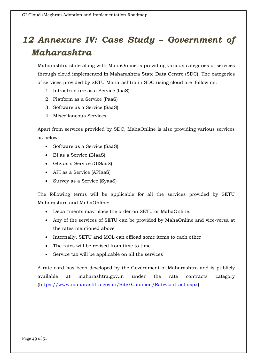# <span id="page-48-0"></span>*12 Annexure IV: Case Study – Government of Maharashtra*

Maharashtra state along with MahaOnline is providing various categories of services through cloud implemented in Maharashtra State Data Centre (SDC). The categories of services provided by SETU Maharashtra in SDC using cloud are following:

- 1. Infrastructure as a Service (IaaS)
- 2. Platform as a Service (PaaS)
- 3. Software as a Service (SaaS)
- 4. Miscellaneous Services

Apart from services provided by SDC, MahaOnline is also providing various services as below:

- Software as a Service (SaaS)
- BI as a Service (BIaaS)
- GIS as a Service (GISaaS)
- API as a Service (APIaaS)
- Survey as a Service (SyaaS)

The following terms will be applicable for all the services provided by SETU Maharashtra and MahaOnline:

- Departments may place the order on SETU or MahaOnline.
- Any of the services of SETU can be provided by MahaOnline and vice-versa at the rates mentioned above
- Internally, SETU and MOL can offload some items to each other
- The rates will be revised from time to time
- Service tax will be applicable on all the services

A rate card has been developed by the Government of Maharashtra and is publicly available at maharashtra.gov.in under the rate contracts category [\(https://www.maharashtra.gov.in/Site/Common/RateContract.aspx\)](https://www.maharashtra.gov.in/Site/Common/RateContract.aspx)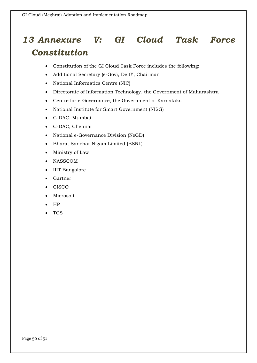# <span id="page-49-0"></span>*13 Annexure V: GI Cloud Task Force Constitution*

- Constitution of the GI Cloud Task Force includes the following:
- Additional Secretary (e-Gov), DeitY, Chairman
- National Informatics Centre (NIC)
- Directorate of Information Technology, the Government of Maharashtra
- Centre for e-Governance, the Government of Karnataka
- National Institute for Smart Government (NISG)
- C-DAC, Mumbai
- C-DAC, Chennai
- National e-Governance Division (NeGD)
- Bharat Sanchar Nigam Limited (BSNL)
- Ministry of Law
- NASSCOM
- IIIT Bangalore
- Gartner
- CISCO
- Microsoft
- HP
- TCS